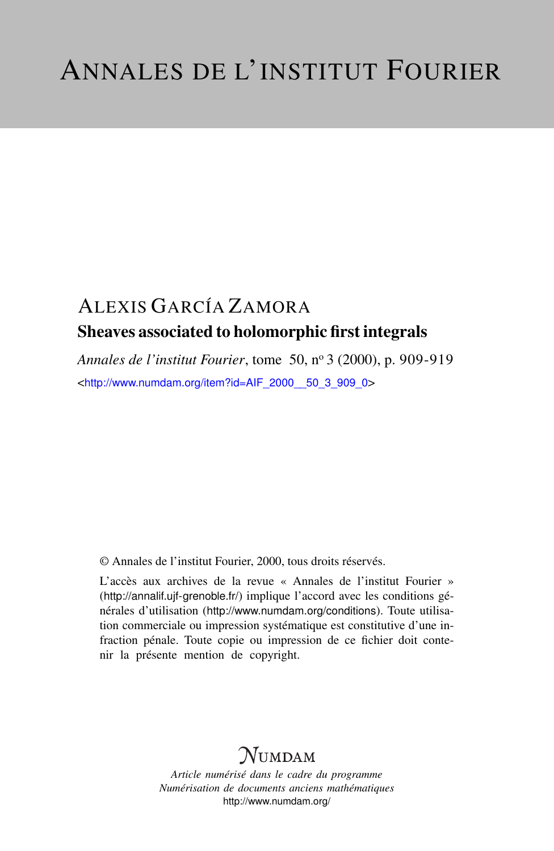## ALEXIS GARCÍA ZAMORA Sheaves associated to holomorphic first integrals

*Annales de l'institut Fourier*, tome 50, n<sup>o</sup> 3 (2000), p. 909-919 <[http://www.numdam.org/item?id=AIF\\_2000\\_\\_50\\_3\\_909\\_0](http://www.numdam.org/item?id=AIF_2000__50_3_909_0)>

© Annales de l'institut Fourier, 2000, tous droits réservés.

L'accès aux archives de la revue « Annales de l'institut Fourier » (<http://annalif.ujf-grenoble.fr/>) implique l'accord avec les conditions générales d'utilisation (<http://www.numdam.org/conditions>). Toute utilisation commerciale ou impression systématique est constitutive d'une infraction pénale. Toute copie ou impression de ce fichier doit contenir la présente mention de copyright.

# NUMDAM

*Article numérisé dans le cadre du programme Numérisation de documents anciens mathématiques* <http://www.numdam.org/>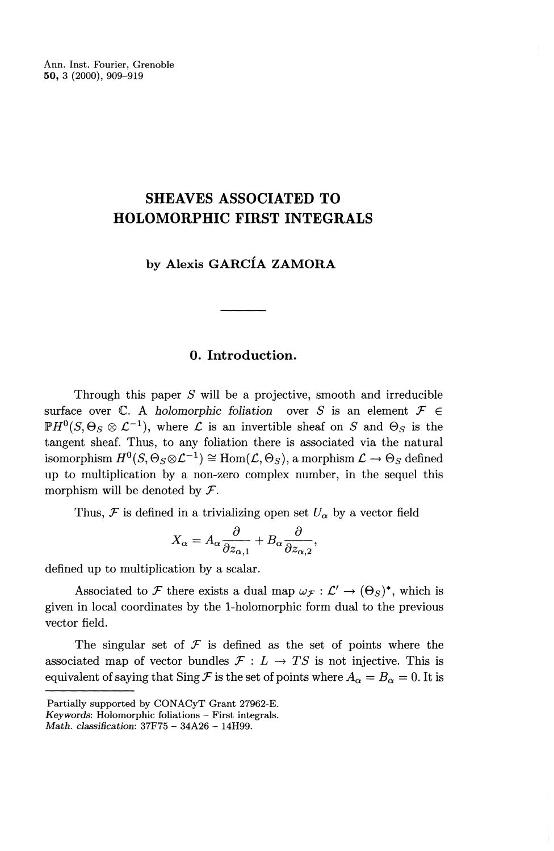Ann. Inst. Fourier, Grenoble **50,** 3 (2000), 909-919

## **SHEAVES ASSOCIATED TO HOLOMORPHIC FIRST INTEGRALS**

**by Alexis GARCIA ZAMORA**

### **0. Introduction.**

Through this paper *S* will be a projective, smooth and irreducible surface over  $\mathbb{C}$ . A *holomorphic foliation* over S is an element  $\mathcal{F} \in$  $P H^0(S, \Theta_S \otimes \mathcal{L}^{-1})$ , where  $\mathcal L$  is an invertible sheaf on *S* and  $\Theta_S$  is the tangent sheaf. Thus, to any foliation there is associated via the natural  $\widetilde{H}^0(S, \Theta_S \otimes \mathcal{L}^{-1}) \cong \text{Hom}(\mathcal{L}, \Theta_S),$  a morphism  $\mathcal{L} \to \Theta_S$  defined up to multiplication by a non-zero complex number, in the sequel this morphism will be denoted by *F.*

Thus,  $\mathcal F$  is defined in a trivializing open set  $U_\alpha$  by a vector field

$$
X_{\alpha}=A_{\alpha}\frac{\partial}{\partial z_{\alpha,1}}+B_{\alpha}\frac{\partial}{\partial z_{\alpha,2}},
$$

defined up to multiplication by a scalar.

Associated to F there exists a dual map  $\omega_{\mathcal{F}} : \mathcal{L}' \to (\Theta_S)^*$ , which is given in local coordinates by the 1-holomorphic form dual to the previous vector field.

The singular set of  $\mathcal F$  is defined as the set of points where the associated map of vector bundles  $\mathcal{F}: L \to TS$  is not injective. This is equivalent of saying that Sing  $\mathcal F$  is the set of points where  $A_\alpha = B_\alpha = 0$ . It is

Partially supported by CONACyT Grant 27962-E.

*Key words'.* Holomorphic foliations — First integrals.

*Math. classification:* 37F75 - 34A26 - 14H99.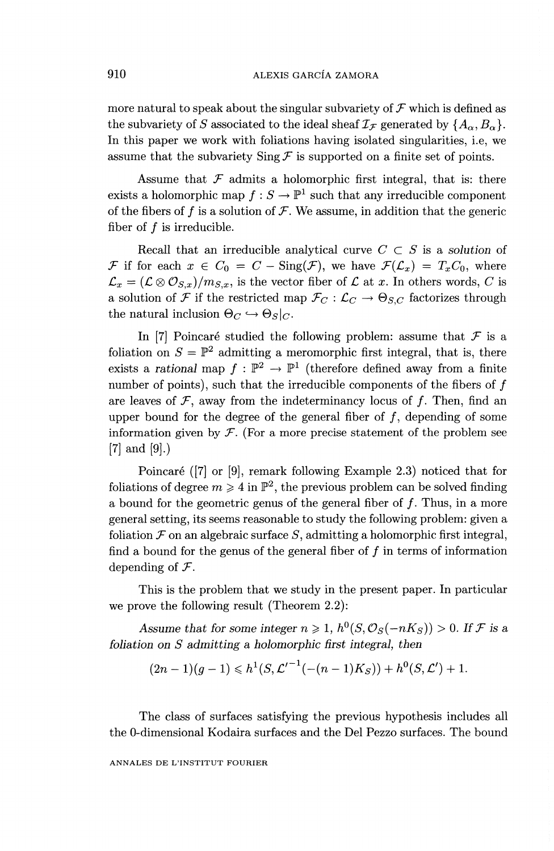more natural to speak about the singular subvariety of  $\mathcal F$  which is defined as the subvariety of *S* associated to the ideal sheaf  $I_{\mathcal{F}}$  generated by  $\{A_{\alpha}, B_{\alpha}\}.$ In this paper we work with foliations having isolated singularities, i.e, we assume that the subvariety  $\text{Sing } \mathcal{F}$  is supported on a finite set of points.

Assume that  $F$  admits a holomorphic first integral, that is: there exists a holomorphic map  $f : S \to \mathbb{P}^1$  such that any irreducible component of the fibers of  $f$  is a solution of  $\mathcal F$ . We assume, in addition that the generic fiber of  $f$  is irreducible.

Recall that an irreducible analytical curve  $C \subset S$  is a *solution* of *F* if for each  $x \in C_0 = C - \text{Sing}(\mathcal{F})$ , we have  $\mathcal{F}(\mathcal{L}_x) = T_xC_0$ , where  $\mathcal{L}_x = (\mathcal{L} \otimes \mathcal{O}_{S,x})/m_{S,x}$ , is the vector fiber of  $\mathcal L$  at *x*. In others words, *C* is a solution of *F* if the restricted map  $\mathcal{F}_C : \mathcal{L}_C \to \Theta_{S,C}$  factorizes through the natural inclusion  $\Theta_C \hookrightarrow \Theta_S|_C$ 

In [7] Poincaré studied the following problem: assume that  $\mathcal F$  is a foliation on  $S = \mathbb{P}^2$  admitting a meromorphic first integral, that is, there exists a *rational* map  $f : \mathbb{P}^2 \to \mathbb{P}^1$  (therefore defined away from a finite number of points), such that the irreducible components of the fibers of  $f$ are leaves of  $\mathcal F$ , away from the indeterminancy locus of  $f$ . Then, find an upper bound for the degree of the general fiber of  $f$ , depending of some information given by  $\mathcal F$ . (For a more precise statement of the problem see [7] and [9].)

Poincaré ([7] or [9], remark following Example 2.3) noticed that for foliations of degree  $m \geq 4$  in  $\mathbb{P}^2$ , the previous problem can be solved finding a bound for the geometric genus of the general fiber of  $f$ . Thus, in a more general setting, its seems reasonable to study the following problem: given a foliation  $\mathcal F$  on an algebraic surface  $S$ , admitting a holomorphic first integral, find a bound for the genus of the general fiber of  $f$  in terms of information depending of *F*'.

This is the problem that we study in the present paper. In particular we prove the following result (Theorem 2.2):

Assume that for some integer  $n \ge 1$ ,  $h^0(S, \mathcal{O}_S(-nK_S)) > 0$ . If F is a *foliation on S admitting a holomorphic first integral, then*

$$
(2n-1)(g-1) \leqslant h^1(S, \mathcal{L}'^{-1}(-(n-1)K_S)) + h^0(S, \mathcal{L}') + 1.
$$

The class of surfaces satisfying the previous hypothesis includes all the 0-dimensional Kodaira surfaces and the Del Pezzo surfaces. The bound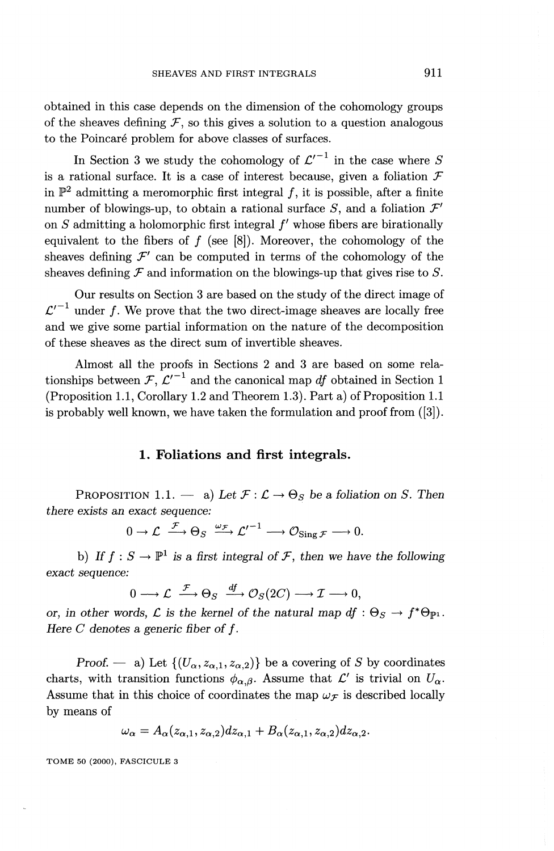obtained in this case depends on the dimension of the cohomology groups of the sheaves defining  $F$ , so this gives a solution to a question analogous to the Poincaré problem for above classes of surfaces.

In Section 3 we study the cohomology of  $\mathcal{L}'^{-1}$  in the case where *S* is a rational surface. It is a case of interest because, given a foliation *F* in  $\mathbb{P}^2$  admitting a meromorphic first integral f, it is possible, after a finite number of blowings-up, to obtain a rational surface  $S$ , and a foliation  $\mathcal{F}'$ on  $S$  admitting a holomorphic first integral  $f'$  whose fibers are birationally equivalent to the fibers of  $f$  (see [8]). Moreover, the cohomology of the sheaves defining  $\mathcal{F}'$  can be computed in terms of the cohomology of the sheaves defining  $\mathcal F$  and information on the blowings-up that gives rise to  $S$ .

Our results on Section 3 are based on the study of the direct image of  $\mathcal{L}'^{-1}$  under f. We prove that the two direct-image sheaves are locally free and we give some partial information on the nature of the decomposition of these sheaves as the direct sum of invertible sheaves.

Almost all the proofs in Sections 2 and 3 are based on some relationships between  $\mathcal{F}, \mathcal{L}'^{-1}$  and the canonical map df obtained in Section 1 (Proposition 1.1, Corollary 1.2 and Theorem 1.3). Part a) of Proposition 1.1 is probably well known, we have taken the formulation and proof from ([3]).

#### **1. Foliations and first integrals.**

PROPOSITION 1.1. — a) Let  $\mathcal{F} : \mathcal{L} \to \Theta_S$  be a foliation on S. Then *there exists an exact sequence:*<br> $0 \to \mathcal{L} \xrightarrow{\mathcal{F}} \Theta_S \xrightarrow{\omega_{\mathcal{F}}} \mathcal{L}'^{-1}$ 

$$
0 \to \mathcal{L} \xrightarrow{\mathcal{F}} \Theta_S \xrightarrow{\omega_{\mathcal{F}}} {\mathcal{L}'}^{-1} \longrightarrow \mathcal{O}_{\text{Sing}\,\mathcal{F}} \longrightarrow 0.
$$

b) If  $f: S \to \mathbb{P}^1$  is a first integral of F, then we have the following *exact sequence:*

$$
0\longrightarrow {\mathcal L} \stackrel{{\mathcal F}}{\longrightarrow} \Theta_S \stackrel{df}{\longrightarrow} {\mathcal O}_S(2C) \longrightarrow {\mathcal I} \longrightarrow 0,
$$

*or, in other words, L is the kernel of the natural map*  $df : \Theta_S \to f^* \Theta_{\mathbb{P}^1}$ *. Here C denotes a generic fiber of f.* 

*Proof.* — a) Let  $\{(U_\alpha, z_{\alpha,1}, z_{\alpha,2})\}$  be a covering of *S* by coordinates charts, with transition functions  $\phi_{\alpha,\beta}$ . Assume that  $\mathcal{L}'$  is trivial on  $U_{\alpha}$ . Assume that in this choice of coordinates the map  $\omega_{\mathcal{F}}$  is described locally by means of

$$
\omega_{\alpha} = A_{\alpha}(z_{\alpha,1}, z_{\alpha,2})dz_{\alpha,1} + B_{\alpha}(z_{\alpha,1}, z_{\alpha,2})dz_{\alpha,2}.
$$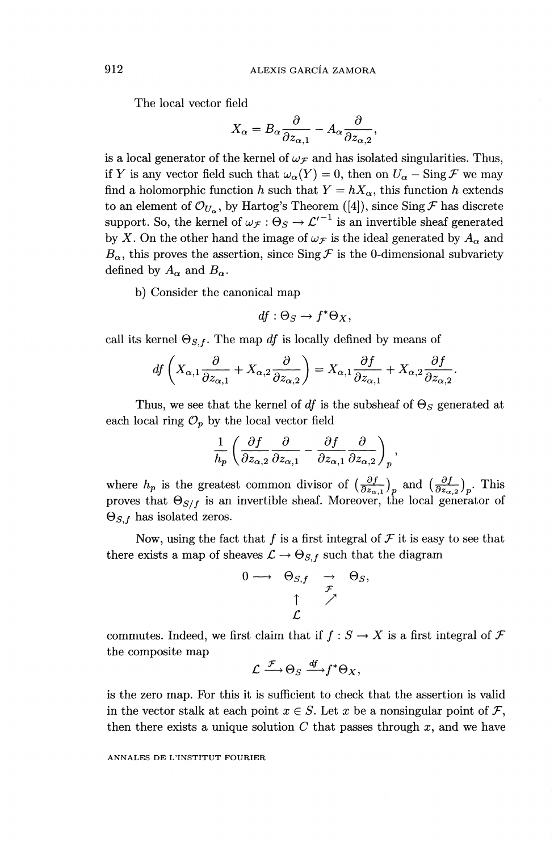The local vector field

$$
X_{\alpha} = B_{\alpha} \frac{\partial}{\partial z_{\alpha,1}} - A_{\alpha} \frac{\partial}{\partial z_{\alpha,2}},
$$

is a local generator of the kernel of  $\omega_{\mathcal{F}}$  and has isolated singularities. Thus, if *Y* is any vector field such that  $\omega_{\alpha}(Y) = 0$ , then on  $U_{\alpha} - \text{Sing } \mathcal{F}$  we may find a holomorphic function h such that  $Y = hX_\alpha$ , this function h extends to an element of  $\mathcal{O}_{U_\alpha}$ , by Hartog's Theorem ([4]), since Sing  $\mathcal F$  has discrete support. So, the kernel of  $\omega_{\mathcal{F}} : \Theta_S \to {\mathcal{L}'}^{-1}$  is an invertible sheaf generated by X. On the other hand the image of  $\omega_{\mathcal{F}}$  is the ideal generated by  $A_{\alpha}$  and  $B_{\alpha}$ , this proves the assertion, since Sing  $\mathcal F$  is the 0-dimensional subvariety defined by  $A_{\alpha}$  and  $B_{\alpha}$ .

b) Consider the canonical map

$$
df: \Theta_S \to f^* \Theta_X,
$$

call its kernel 
$$
\Theta_{S,f}
$$
. The map *df* is locally defined by means of  
\n
$$
df\left(X_{\alpha,1}\frac{\partial}{\partial z_{\alpha,1}}+X_{\alpha,2}\frac{\partial}{\partial z_{\alpha,2}}\right)=X_{\alpha,1}\frac{\partial f}{\partial z_{\alpha,1}}+X_{\alpha,2}\frac{\partial f}{\partial z_{\alpha,2}}.
$$

Thus, we see that the kernel of *df* is the subsheaf of *Os* generated at

each local ring 
$$
\mathcal{O}_p
$$
 by the local vector field  
\n
$$
\frac{1}{h_p} \left( \frac{\partial f}{\partial z_{\alpha,2}} \frac{\partial}{\partial z_{\alpha,1}} - \frac{\partial f}{\partial z_{\alpha,1}} \frac{\partial}{\partial z_{\alpha,2}} \right)_p,
$$

where  $h_p$  is the greatest common divisor of  $\left(\frac{\partial f}{\partial z_{\alpha}}\right)_p$  and  $\left(\frac{\partial f}{\partial z_{\alpha}}\right)_p$ . This proves that  $\Theta_{S/f}$  is an invertible sheaf. Moreover, the local generator of  $\Theta_{S,f}$  has isolated zeros.

Now, using the fact that  $f$  is a first integral of  $\mathcal F$  it is easy to see that there exists a map of sheaves  $\mathcal{L} \rightarrow \Theta_{S,f}$  such that the diagram

$$
\begin{array}{rcl}\n0 \longrightarrow & \Theta_{S,f} & \longrightarrow & \Theta_S, \\
 & \uparrow & \nearrow & \\
 & \downarrow & \nearrow & \\
 & \swarrow & & \\
 & \swarrow & & & \\
 & & \downarrow & & & \n\end{array}
$$

commutes. Indeed, we first claim that if  $f : S \to X$  is a first integral of  $\mathcal F$ the composite map

$$
\mathcal{L} \xrightarrow{\mathcal{F}} \Theta_S \xrightarrow{df} f^* \Theta_X,
$$

is the zero map. For this it is sufficient to check that the assertion is valid in the vector stalk at each point  $x \in S$ . Let x be a nonsingular point of F, then there exists a unique solution *C* that passes through *x,* and we have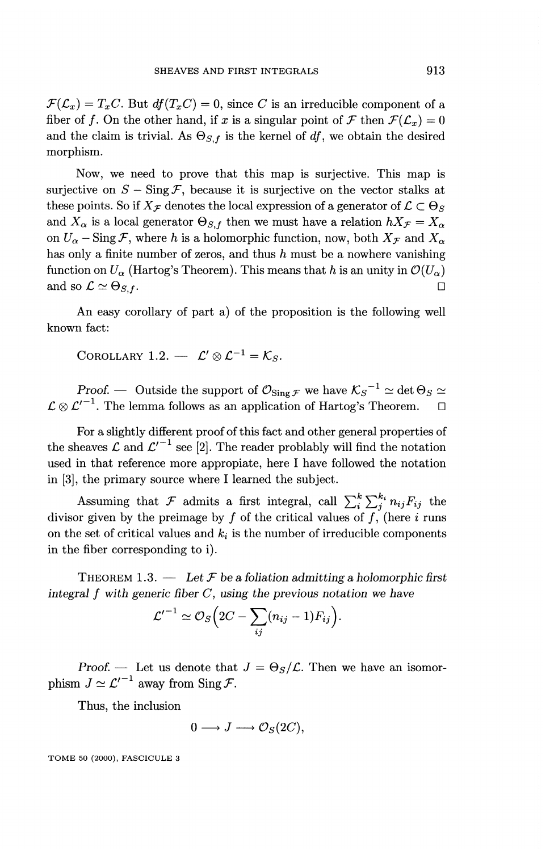$\mathcal{F}(\mathcal{L}_x) = T_xC$ . But  $df(T_xC) = 0$ , since *C* is an irreducible component of a fiber of f. On the other hand, if x is a singular point of F then  $\mathcal{F}(\mathcal{L}_x) = 0$ and the claim is trivial. As  $\Theta_{S,f}$  is the kernel of df, we obtain the desired morphism.

Now, we need to prove that this map is surjective. This map is surjective on  $S - \text{Sing }\mathcal{F}$ , because it is surjective on the vector stalks at these points. So if  $X_{\mathcal{F}}$  denotes the local expression of a generator of  $\mathcal{L} \subset \Theta_S$ and  $X_{\alpha}$  is a local generator  $\Theta_{S,f}$  then we must have a relation  $hX_{\mathcal{F}}=X_{\alpha}$ on  $U_{\alpha}$  – Sing  $\mathcal{F}$ , where *h* is a holomorphic function, now, both  $X_{\mathcal{F}}$  and  $X_{\alpha}$ has only a finite number of zeros, and thus *h* must be a nowhere vanishing function on  $U_{\alpha}$  (Hartog's Theorem). This means that h is an unity in  $\mathcal{O}(U_{\alpha})$ and so  $\mathcal{L} \simeq \Theta_{S, f}$ .

An easy corollary of part a) of the proposition is the following well known fact:

COROLLARY 1.2.  $-\mathcal{L}' \otimes \mathcal{L}^{-1} = \mathcal{K}_S$ .

*Proof.* — Outside the support of  $\mathcal{O}_{\text{Sing}\,\mathcal{F}}$  we have  $\mathcal{K}_{S}^{-1} \simeq \det \Theta_S \simeq$  $\mathcal{L} \otimes \mathcal{L}'^{-1}$ . The lemma follows as an application of Hartog's Theorem.  $\Box$ 

For a slightly different proof of this fact and other general properties of the sheaves  $\mathcal L$  and  $\mathcal L'^{-1}$  see [2]. The reader problably will find the notation used in that reference more appropiate, here I have followed the notation in [3], the primary source where I learned the subject.

Assuming that F admits a first integral, call  $\sum_{i}^{k} \sum_{j}^{k_i} n_{ij}F_{ij}$  the divisor given by the preimage by  $f$  of the critical values of  $f$ , (here  $i$  runs on the set of critical values and  $k_i$  is the number of irreducible components in the fiber corresponding to i).

THEOREM 1.3. — *Let F be a foliation admitting a holomorphic first integral f with generic fiber C, using the previous notation we have*

$$
\mathcal{L}'^{-1} \simeq \mathcal{O}_S\Big(2C - \sum_{ij} (n_{ij} - 1)F_{ij}\Big).
$$

*Proof.* — Let us denote that  $J = \Theta_S/\mathcal{L}$ . Then we have an isomorphism  $J \simeq \mathcal{L}'^{-1}$  away from Sing  $\mathcal{F}$ .

Thus, the inclusion

$$
0 \longrightarrow J \longrightarrow \mathcal{O}_S(2C),
$$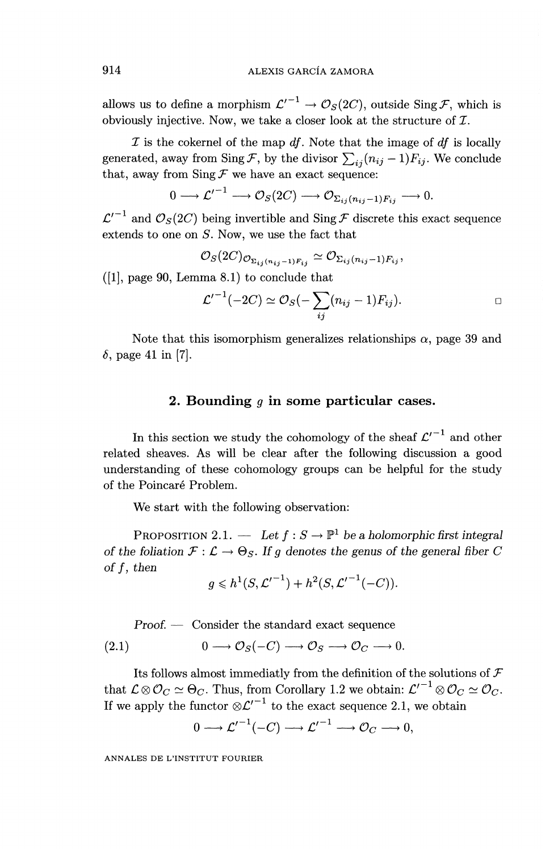allows us to define a morphism  $\mathcal{L}'^{-1} \to \mathcal{O}_{\mathcal{S}}(2C)$ , outside Sing.F, which is obviously injective. Now, we take a closer look at the structure of Z.

*I* is the cokernel of the map *df.* Note that the image of *df* is locally generated, away from Sing F, by the divisor  $\sum_{ij} (n_{ij} - 1)F_{ij}$ . We conclude that, away from  $\text{Sing } \mathcal{F}$  we have an exact sequence:

$$
0 \longrightarrow {\mathcal{L}'}^{-1} \longrightarrow {\mathcal{O}}_S(2C) \longrightarrow {\mathcal{O}}_{\Sigma_{ij}(n_{ij}-1)F_{ij}} \longrightarrow 0.
$$

 $\mathcal{L}'^{-1}$  and  $\mathcal{O}_{\mathcal{S}}(2C)$  being invertible and Sing *F* discrete this exact sequence extends to one on *S.* Now, we use the fact that

$$
\mathcal{O}_S(2C)_{\mathcal{O}_{\Sigma_{ij}(n_{ij}-1)F_{ij}}} \simeq \mathcal{O}_{\Sigma_{ij}(n_{ij}-1)F_{ij}},
$$

 $([1],$  page 90, Lemma 8.1) to conclude that

$$
\mathcal{L}'^{-1}(-2C) \simeq \mathcal{O}_S(-\sum_{ij}(n_{ij}-1)F_{ij}).
$$

Note that this isomorphism generalizes relationships  $\alpha$ , page 39 and  $\delta$ , page 41 in [7].

#### **2. Bounding** *g* **in some particular cases.**

In this section we study the cohomology of the sheaf  $\mathcal{L}'^{-1}$  and other related sheaves. As will be clear after the following discussion a good understanding of these cohomology groups can be helpful for the study of the Poincaré Problem.

We start with the following observation:

We start with the following observation.<br>
PROPOSITION 2.1. — Let  $f : S \to \mathbb{P}^1$  be a holomorphic first integral *of the foliation*  $\mathcal{F} : \mathcal{L} \to \Theta_S$ . If g denotes the genus of the general fiber *of the fo*<br>*of f* then

$$
g \leq h^1(S, {\mathcal L'}^{-1}) + h^2(S, {\mathcal L'}^{-1}(-C)).
$$

*Proof. —* Consider the standard exact sequence

(2.1) 
$$
0 \longrightarrow \mathcal{O}_S(-C) \longrightarrow \mathcal{O}_S \longrightarrow \mathcal{O}_C \longrightarrow 0.
$$

Its follows almost immediatly from the definition of the solutions of  $\mathcal F$ that  $\mathcal{L} \otimes \mathcal{O}_C \simeq \Theta_C$ . Thus, from Corollary 1.2 we obtain:  $\mathcal{L'}^{-1} \otimes \mathcal{O}_C \simeq \mathcal{O}_C$ If we apply the functor  $\varnothing/\ell^{-1}$  to the exact sequence 2.1, we obtain

$$
0 \longrightarrow {\mathcal L'}^{-1}(-C) \longrightarrow {\mathcal L'}^{-1} \longrightarrow {\mathcal O}_C \longrightarrow 0,
$$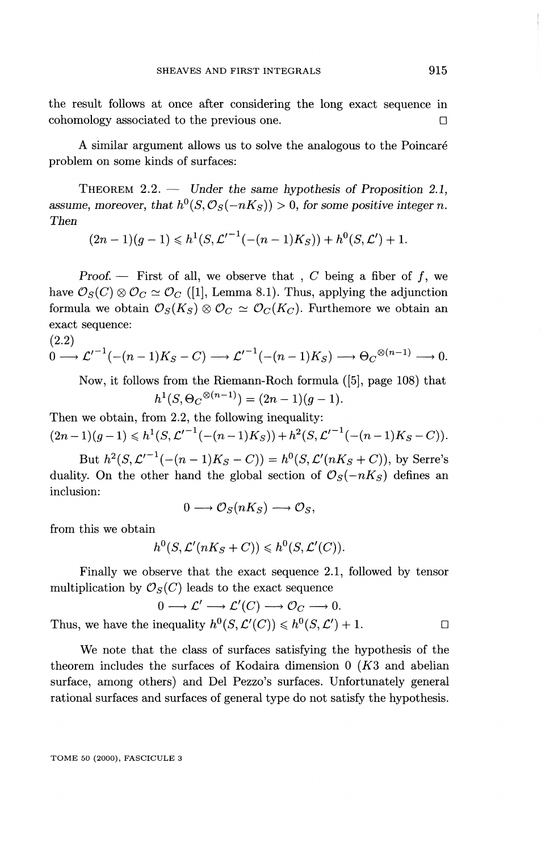the result follows at once after considering the long exact sequence in  $\Box$  cohomology associated to the previous one.  $\Box$ 

A similar argument allows us to solve the analogous to the Poincare problem on some kinds of surfaces:

THEOREM 2.2. — *Under the same hypothesis of Proposition 2.1,* assume, moreover, that  $h^{0}(S, \mathcal{O}_{S}(-nK_{S})) > 0$ , for some positive integer n. *Then*

$$
(2n-1)(g-1) \leqslant h^1(S, \mathcal{L}'^{-1}(-(n-1)K_S)) + h^0(S, \mathcal{L}') + 1.
$$

Proof.  $-$  First of all, we observe that, C being a fiber of f, we have  $\mathcal{O}_S(C) \otimes \mathcal{O}_C \simeq \mathcal{O}_C$  ([1], Lemma 8.1). Thus, applying the adjunction formula we obtain  $\mathcal{O}_S(K_S) \otimes \mathcal{O}_C \simeq \mathcal{O}_C(K_C)$ . Furthemore we obtain an exact sequence: (2.2)

$$
\begin{aligned} & (2.2) \\ & 0 \longrightarrow \mathcal{L}'^{-1}(-(n-1)K_S - C) \longrightarrow \mathcal{L}'^{-1}(-(n-1)K_S) \longrightarrow \Theta_C^{\otimes (n-1)} \longrightarrow 0. \end{aligned}
$$

Now, it follows from the Riemann-Roch formula ([5], page 108) that  $h^1(S, \Theta_C^{\otimes (n-1)}) = (2n-1)(g-1).$ 

Then we obtain, from 2.2, the following inequality:  $(2n-1)(g-1) \leq h^1(S, \mathcal{L}'^{-1}(-(n-1)K_S))+h^2(S, \mathcal{L}'^{-1}(-(n-1)K_S-C)).$ 

But  $h^2(S, \mathcal{L}'^{-1}(-(n - 1)K_S - C)) = h^0(S, \mathcal{L}'(nK_S + C))$ , by Serre's duality. On the other hand the global section of  $\mathcal{O}_S(-nK_S)$  defines an inclusion:

$$
0 \longrightarrow \mathcal{O}_S(nK_S) \longrightarrow \mathcal{O}_S
$$

from this we obtain

$$
h^0(S, \mathcal{L}'(nK_S + C)) \leq h^0(S, \mathcal{L}'(C)).
$$

Finally we observe that the exact sequence 2.1, followed by tensor multiplication by  $\mathcal{O}_S(C)$  leads to the exact sequence

$$
0 \longrightarrow \mathcal{L}' \longrightarrow \mathcal{L}'(C) \longrightarrow \mathcal{O}_C \longrightarrow 0.
$$

Thus, we have the inequality  $h^0(S, \mathcal{L}'(C)) \leq h^0(S, \mathcal{L}') + 1.$ 

We note that the class of surfaces satisfying the hypothesis of the theorem includes the surfaces of Kodaira dimension 0 *(K3* and abelian surface, among others) and Del Pezzo's surfaces. Unfortunately general rational surfaces and surfaces of general type do not satisfy the hypothesis.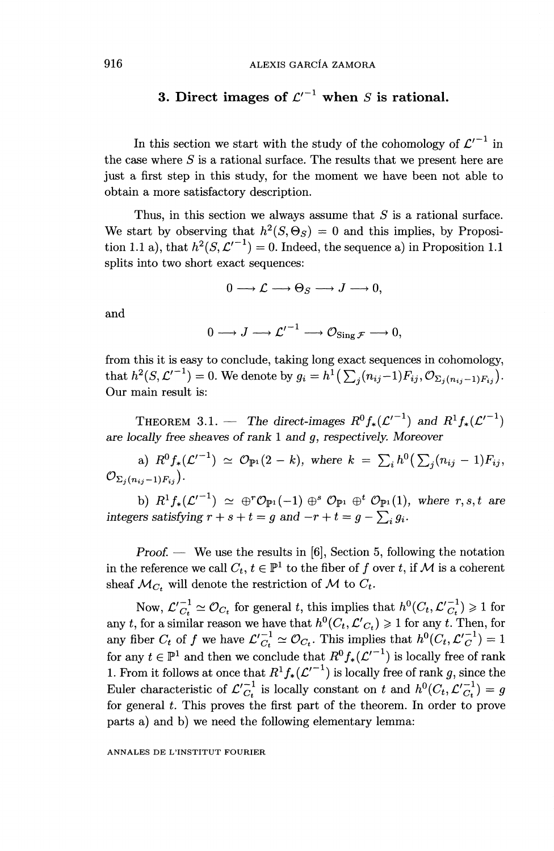### **3.** Direct images of  $\mathcal{L}'^{-1}$  when *S* is rational.

In this section we start with the study of the cohomology of  $\mathcal{L}'^{-1}$  in the case where *S* is a rational surface. The results that we present here are just a first step in this study, for the moment we have been not able to obtain a more satisfactory description.

Thus, in this section we always assume that *S* is a rational surface. We start by observing that  $h^2(S, \Theta_S) = 0$  and this implies, by Proposition 1.1 a), that  $h^2(S, \mathcal{L}'^{-1}) = 0$ . Indeed, the sequence a) in Proposition 1.1 splits into two short exact sequences:

 $0 \longrightarrow \mathcal{L} \longrightarrow \Theta_S \longrightarrow J \longrightarrow 0,$ 

and

$$
0 \longrightarrow J \longrightarrow {\mathcal{L}'}^{-1} \longrightarrow \mathcal{O}_{\mathrm{Sing}\,\mathcal{F}} \longrightarrow 0,
$$

from this it is easy to conclude, taking long exact sequences in cohomology, from this it is easy to conclude, taking long exact sequences in cohomology,<br>that  $h^2(S, \mathcal{L'}^{-1}) = 0$ . We denote by  $g_i = h^1(\sum_j (n_{ij}-1)F_{ij}, \mathcal{O}_{\Sigma_j(n_{ij}-1)F_{ij}})$ . Our main result is:

THEOREM 3.1. — The direct-images  $R^0 f_*(\mathcal{L}'^{-1})$  and  $R^1 f_*(\mathcal{L}'^{-1})$ *are locally free sheaves of rank 1 and g, respectively. Moreover*

a)  $R^0 f_*(\mathcal{L}'^{-1}) \simeq \mathcal{O}_{\mathbb{P}^1}(2-k)$ , where  $k = \sum_i h^0(\sum_j (n_{ij} - 1)F_{ij})$ ,  $\mathcal{O}_{\Sigma_i(n_{ii}-1)F_{ii}}).$ 

b)  $R^1 f_*(\mathcal{L}^{r-1}) \simeq \bigoplus^{r} \mathcal{O}_{\mathbb{P}^1}(-1) \bigoplus^{s} \mathcal{O}_{\mathbb{P}^1} \bigoplus^{t} \mathcal{O}_{\mathbb{P}^1}(1)$ , where  $r, s, t$  are *integers satisfying*  $r + s + t = g$  *and*  $-r + t = g - \sum_i g_i$ *.* 

*Proof. —* We use the results in [6], Section 5, following the notation in the reference we call  $C_t$ ,  $t \in \mathbb{P}^1$  to the fiber of f over t, if M is a coherent sheaf  $\mathcal{M}_C$ , will denote the restriction of  $\mathcal M$  to  $C_t$ .

Now,  $\mathcal{L'}_{C_t}^{-1} \simeq \mathcal{O}_{C_t}$  for general t, this implies that  $h^0(C_t, \mathcal{L'}_{C_t}^{-1}) \geq 1$  for Now,  $\mathcal{L}'_{C_t}^{-1} \simeq \mathcal{O}_{C_t}$  for general t, this implies that  $h^0(C_t, \mathcal{L}'_{C_t}^{-1}) \geq 1$  for any t, for a similar reason we have that  $h^0(C_t, \mathcal{L}'_{C_t}) \geq 1$  for any t. Then, for any fiber  $C_t$  of f we have  $\mathcal{L}'_{C$ for any  $t \in \mathbb{P}^1$  and then we conclude that  $R^0 f_*(\mathcal{L}'^{-1})$  is locally free of rank 1. From it follows at once that  $R^1 f_*(\mathcal{L}'^{-1})$  is locally free of rank  $g$ , since the Euler characteristic of  $\mathcal{L'}_{C_t}^{-1}$  is locally constant on t and  $h^0(C_t, \mathcal{L'}_{C_t}^{-1}) = g$ for general *t.* This proves the first part of the theorem. In order to prove parts a) and b) we need the following elementary lemma: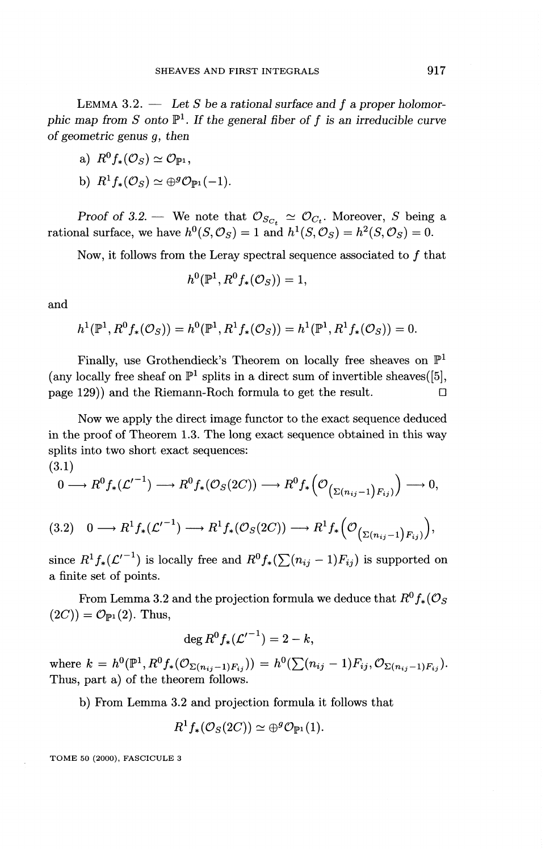LEMMA 3.2. — *Let S be a rational surface and f a proper holomor-*LEMMA 3.2. — Let S be a rational surface and f a proper holomorphic map from S onto  $\mathbb{P}^1$ . If the general fiber of f is an irreducible curve *of geometric genus g, then*

a)  $R^0 f_*(\mathcal{O}_S) \simeq \mathcal{O}_{\mathbb{P}^1}$ .

b) 
$$
R^1 f_*(\mathcal{O}_S) \simeq \bigoplus^g \mathcal{O}_{\mathbb{P}^1}(-1).
$$

*Proof of 3.2.* — We note that  $\mathcal{O}_{S_{C_t}} \simeq \mathcal{O}_{C_t}$ . Moreover, *S* being a rational surface, we have  $h^0(S, \mathcal{O}_S) = 1$  and  $h^1(S, \mathcal{O}_S) = h^2(S, \mathcal{O}_S) = 0$ .

Now, it follows from the Leray spectral sequence associated to  $f$  that

$$
h^0({\mathbb P}^1, R^0f_*(\mathcal{O}_S))=1,
$$

and

$$
h^{1}(\mathbb{P}^{1}, R^{0} f_{*}(\mathcal{O}_{S})) = h^{0}(\mathbb{P}^{1}, R^{1} f_{*}(\mathcal{O}_{S})) = h^{1}(\mathbb{P}^{1}, R^{1} f_{*}(\mathcal{O}_{S})) = 0.
$$

Finally, use Grothendieck's Theorem on locally free sheaves on  $\mathbb{P}^1$ (any locally free sheaf on  $\mathbb{P}^1$  splits in a direct sum of invertible sheaves([5]. page 129)) and the Riemann-Roch formula to get the result.  $\Box$ 

Now we apply the direct image functor to the exact sequence deduced in the proof of Theorem 1.3. The long exact sequence obtained in this way splits into two short exact sequences:

(3.1)

$$
0 \longrightarrow R^0f_*(\mathcal{L}'^{-1}) \longrightarrow R^0f_*(\mathcal{O}_S(2C)) \longrightarrow R^0f_*\Big(\mathcal{O}_{\big(\Sigma(n_{ij}-1)F_{ij}\big)}\Big) \longrightarrow 0,
$$

$$
(3.2) \quad 0 \longrightarrow R^1 f_* (\mathcal{L}'^{-1}) \longrightarrow R^1 f_* (\mathcal{O}_S (2C)) \longrightarrow R^1 f_* \Big( \mathcal{O}_{\left( \Sigma (n_{ij}-1) F_{ij} \right)} \Big),
$$

since  $R^1 f_*(\mathcal{L}'^{-1})$  is locally free and  $R^0 f_*(\sum (n_{ij} - 1)F_{ij})$  is supported on a finite set of points.

From Lemma 3.2 and the projection formula we deduce that  $R^0f_*(\mathcal{O}_S)$  $(2C)$ *)* =  $\mathcal{O}_{\mathbb{P}^1}(2)$ . Thus,

$$
\deg R^0 f_* ( {\mathcal L'}^{-1} ) = 2 - k,
$$

where  $k = h^0(\mathbb{P}^1, R^0 f_*(\mathcal{O}_{\Sigma(n_{ij}-1)F_{ij}})) = h^0(\sum (n_{ij}-1)F_{ij}, \mathcal{O}_{\Sigma(n_{ij}-1)F_{ij}})$ . Thus, part a) of the theorem follows.

b) From Lemma 3.2 and projection formula it follows that

$$
R^1f_*(\mathcal{O}_S(2C)) \simeq \oplus^g\mathcal{O}_{\mathbb{P}^1}(1).
$$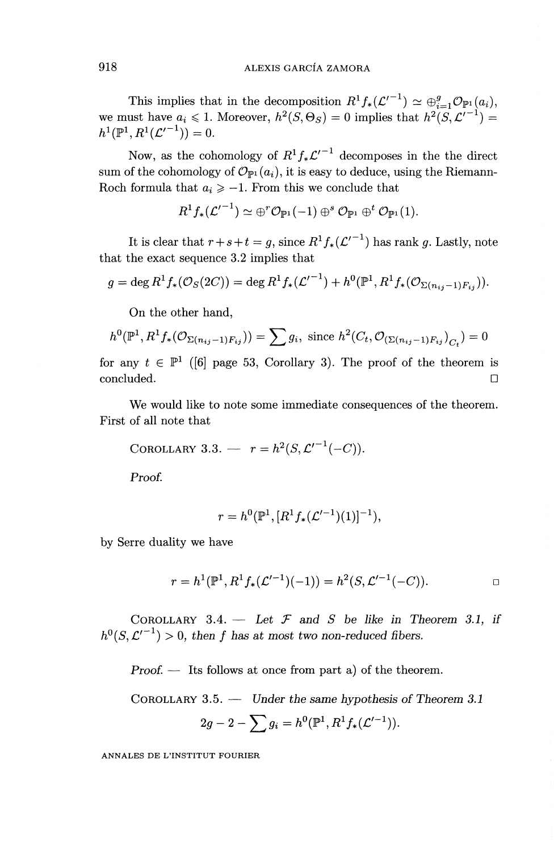This implies that in the decomposition  $R^1 f_*(\mathcal{L}'^{-1}) \simeq \bigoplus_{i=1}^g \mathcal{O}_{\mathbb{P}^1}(a_i)$ , we must have  $a_i \leq 1$ . Moreover,  $h^2(S, \Theta_S) = 0$  implies that  $h^2(S, \mathcal{L}^{\prime -1}) =$  $h^1(\mathbb{P}^1, R^1(\mathcal{L}'^{-1}))=0.$ 

Now, as the cohomology of  $R^1 f_* \mathcal{L}'^{-1}$  decomposes in the the direct sum of the cohomology of  $\mathcal{O}_{\mathbb{P}^1}(a_i)$ , it is easy to deduce, using the Riemann-Roch formula that  $a_i \geq -1$ . From this we conclude that

$$
R^1f_*(\mathcal{L'}^{-1}) \simeq \oplus^r\mathcal{O}_{\mathbb{P}^1}(-1) \oplus^s\mathcal{O}_{\mathbb{P}^1}\oplus^t\mathcal{O}_{\mathbb{P}^1}(1).
$$

It is clear that  $r + s + t = g$ , since  $R^1 f_*(\mathcal{L}'^{-1})$  has rank g. Lastly, note that the exact sequence 3.2 implies that

$$
g = \deg R^{1} f_{*}(\mathcal{O}_{S}(2C)) = \deg R^{1} f_{*}(\mathcal{L}'^{-1}) + h^{0}(\mathbb{P}^{1}, R^{1} f_{*}(\mathcal{O}_{\Sigma(n_{ij}-1)F_{ij}})).
$$

On the other hand,

$$
h^{0}(\mathbb{P}^{1}, R^{1} f_{*}(\mathcal{O}_{\Sigma(n_{ij}-1)F_{ij}})) = \sum g_{i}, \text{ since } h^{2}(C_{t}, \mathcal{O}_{(\Sigma(n_{ij}-1)F_{ij})}_{C_{t}}) = 0
$$

for any  $t \in \mathbb{P}^1$  ([6] page 53, Corollary 3). The proof of the theorem is concluded. D

We would like to note some immediate consequences of the theorem. First of all note that

COROLLARY 3.3. - 
$$
r = h^2(S, L'^{-1}(-C)).
$$

Proof.

$$
r = h^0(\mathbb{P}^1, [R^1 f_*(\mathcal{L}'^{-1})(1)]^{-1}),
$$

by Serre duality we have

$$
r = h^{1}(\mathbb{P}^{1}, R^{1} f_{*}(\mathcal{L}'^{-1})(-1)) = h^{2}(S, \mathcal{L}'^{-1}(-C)).
$$

COROLLARY  $3.4.$  - Let  $\mathcal F$  and  $S$  be like in Theorem 3.1, if COROLLARY 3.4. — Let  $\mathcal F$  and  $S$  be like in Th $h^0(S, \mathcal{L'}^{-1}) > 0$ , then f has at most two non-reduced fibers.

*Proof. —* Its follows at once from part a) of the theorem.

COROLLARY 3.5. — *Under the same hypothesis of Theorem 3.1*

$$
2g-2-\sum g_i=h^0(\mathbb{P}^1,R^1f_*(\mathcal{L}'^{-1})).
$$